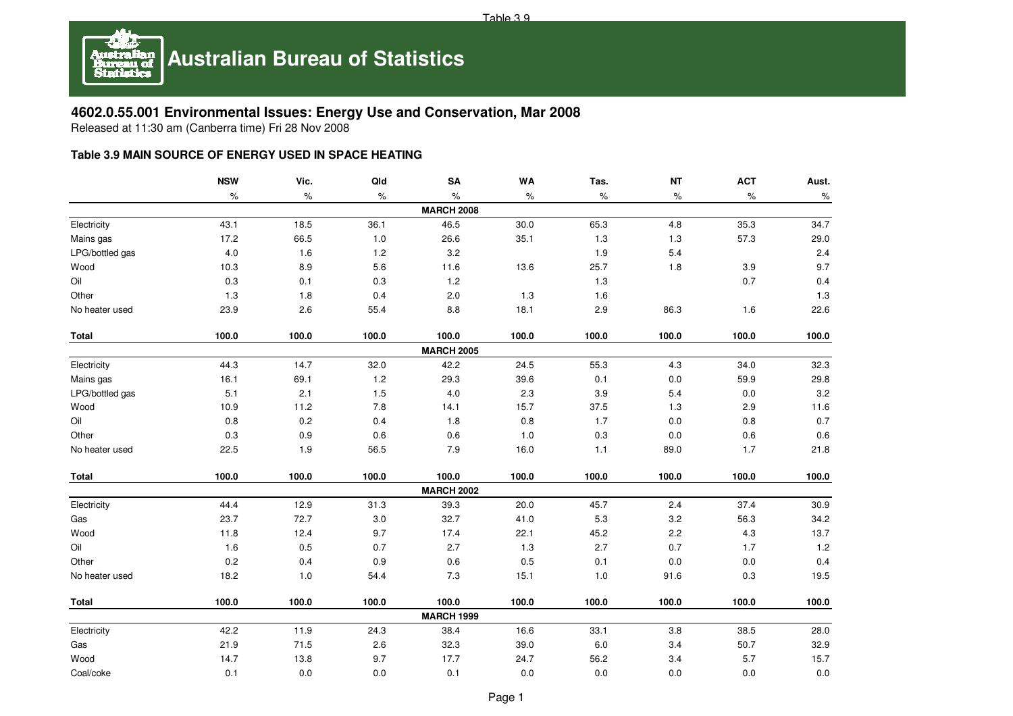

## **4602.0.55.001 Environmental Issues: Energy Use and Conservation, Mar 2008**

Released at 11:30 am (Canberra time) Fri 28 Nov 2008

## **Table 3.9 MAIN SOURCE OF ENERGY USED IN SPACE HEATING**

|                 | <b>NSW</b> | Vic.  | Qld   | SA                | WA    | Tas.    | <b>NT</b> | <b>ACT</b> | Aust.   |
|-----------------|------------|-------|-------|-------------------|-------|---------|-----------|------------|---------|
|                 | $\%$       | ℅     | $\%$  | $\%$              | $\%$  | %       | $\%$      | $\%$       | $\%$    |
|                 |            |       |       | <b>MARCH 2008</b> |       |         |           |            |         |
| Electricity     | 43.1       | 18.5  | 36.1  | 46.5              | 30.0  | 65.3    | 4.8       | 35.3       | 34.7    |
| Mains gas       | 17.2       | 66.5  | 1.0   | 26.6              | 35.1  | 1.3     | $1.3$     | 57.3       | 29.0    |
| LPG/bottled gas | $4.0\,$    | 1.6   | $1.2$ | $3.2\,$           |       | 1.9     | 5.4       |            | 2.4     |
| Wood            | 10.3       | 8.9   | 5.6   | 11.6              | 13.6  | 25.7    | 1.8       | 3.9        | 9.7     |
| Oil             | 0.3        | 0.1   | 0.3   | $1.2$             |       | 1.3     |           | 0.7        | 0.4     |
| Other           | 1.3        | 1.8   | 0.4   | $2.0\,$           | 1.3   | 1.6     |           |            | 1.3     |
| No heater used  | 23.9       | 2.6   | 55.4  | $8.8\,$           | 18.1  | 2.9     | 86.3      | 1.6        | 22.6    |
| <b>Total</b>    | 100.0      | 100.0 | 100.0 | 100.0             | 100.0 | 100.0   | 100.0     | 100.0      | 100.0   |
|                 |            |       |       | <b>MARCH 2005</b> |       |         |           |            |         |
| Electricity     | 44.3       | 14.7  | 32.0  | 42.2              | 24.5  | 55.3    | 4.3       | 34.0       | 32.3    |
| Mains gas       | 16.1       | 69.1  | $1.2$ | 29.3              | 39.6  | 0.1     | $0.0\,$   | 59.9       | 29.8    |
| LPG/bottled gas | 5.1        | 2.1   | 1.5   | 4.0               | 2.3   | 3.9     | 5.4       | 0.0        | 3.2     |
| Wood            | 10.9       | 11.2  | 7.8   | 14.1              | 15.7  | 37.5    | 1.3       | 2.9        | 11.6    |
| Oil             | 0.8        | 0.2   | 0.4   | 1.8               | 0.8   | 1.7     | $0.0\,$   | $0.8\,$    | 0.7     |
| Other           | $0.3\,$    | 0.9   | 0.6   | $0.6\,$           | 1.0   | $0.3\,$ | $0.0\,$   | $0.6\,$    | 0.6     |
| No heater used  | 22.5       | 1.9   | 56.5  | $7.9$             | 16.0  | $1.1$   | 89.0      | 1.7        | 21.8    |
| Total           | 100.0      | 100.0 | 100.0 | 100.0             | 100.0 | 100.0   | 100.0     | 100.0      | 100.0   |
|                 |            |       |       | <b>MARCH 2002</b> |       |         |           |            |         |
| Electricity     | 44.4       | 12.9  | 31.3  | 39.3              | 20.0  | 45.7    | 2.4       | 37.4       | 30.9    |
| Gas             | 23.7       | 72.7  | 3.0   | 32.7              | 41.0  | 5.3     | $3.2\,$   | 56.3       | 34.2    |
| Wood            | 11.8       | 12.4  | 9.7   | 17.4              | 22.1  | 45.2    | $2.2\,$   | 4.3        | 13.7    |
| Oil             | 1.6        | 0.5   | 0.7   | 2.7               | 1.3   | 2.7     | 0.7       | 1.7        | $1.2$   |
| Other           | 0.2        | 0.4   | 0.9   | $0.6\,$           | 0.5   | 0.1     | $0.0\,$   | $0.0\,$    | 0.4     |
| No heater used  | 18.2       | 1.0   | 54.4  | 7.3               | 15.1  | $1.0$   | 91.6      | $0.3\,$    | 19.5    |
| <b>Total</b>    | 100.0      | 100.0 | 100.0 | 100.0             | 100.0 | 100.0   | 100.0     | 100.0      | 100.0   |
|                 |            |       |       | <b>MARCH 1999</b> |       |         |           |            |         |
| Electricity     | 42.2       | 11.9  | 24.3  | 38.4              | 16.6  | 33.1    | 3.8       | 38.5       | 28.0    |
| Gas             | 21.9       | 71.5  | 2.6   | 32.3              | 39.0  | $6.0\,$ | 3.4       | 50.7       | 32.9    |
| Wood            | 14.7       | 13.8  | 9.7   | 17.7              | 24.7  | 56.2    | 3.4       | 5.7        | 15.7    |
| Coal/coke       | 0.1        | 0.0   | 0.0   | 0.1               | 0.0   | 0.0     | $0.0\,$   | $0.0\,$    | $0.0\,$ |